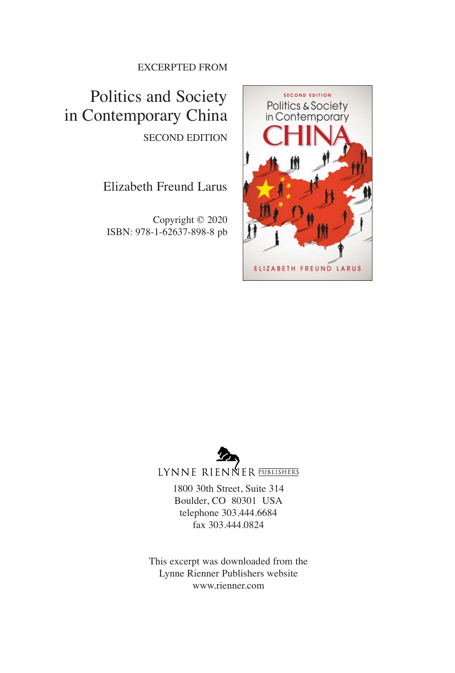#### EXCERPTED FROM

Politics and Society in Contemporary China SECOND EDITION

#### Elizabeth Freund Larus

Copyright © 2020 ISBN: 978-1-62637-898-8 pb





LYNNE RIENNER PUBLISHERS

1800 30th Street, Suite 314 Boulder, CO 80301 USA telephone 303.444.6684 fax 303.444.0824

This excerpt was downloaded from the Lynne Rienner Publishers website www.rienner.com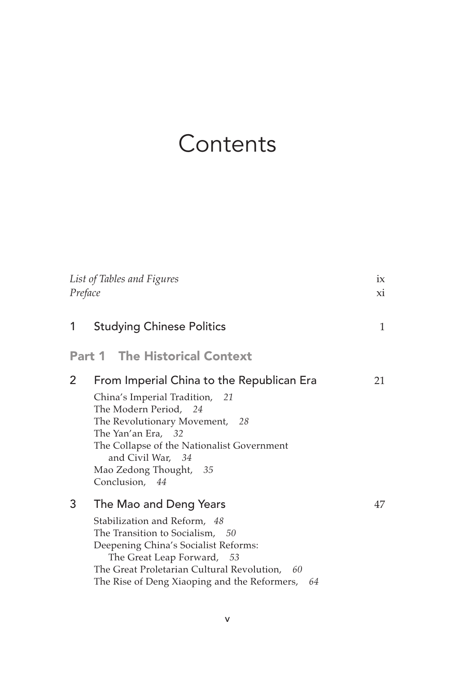## **Contents**

| List of Tables and Figures<br>Preface |                                                                                                                                                                                                                                                                             | ix<br>Xİ. |  |
|---------------------------------------|-----------------------------------------------------------------------------------------------------------------------------------------------------------------------------------------------------------------------------------------------------------------------------|-----------|--|
| 1                                     | <b>Studying Chinese Politics</b>                                                                                                                                                                                                                                            | 1         |  |
| <b>Part 1 The Historical Context</b>  |                                                                                                                                                                                                                                                                             |           |  |
| 2                                     | From Imperial China to the Republican Era<br>China's Imperial Tradition, 21<br>The Modern Period, 24<br>The Revolutionary Movement, 28<br>The Yan'an Era, 32<br>The Collapse of the Nationalist Government<br>and Civil War, 34<br>Mao Zedong Thought, 35<br>Conclusion, 44 | 21        |  |
| 3                                     | The Mao and Deng Years<br>Stabilization and Reform, 48<br>The Transition to Socialism, 50<br>Deepening China's Socialist Reforms:<br>The Great Leap Forward, 53<br>The Great Proletarian Cultural Revolution, 60<br>The Rise of Deng Xiaoping and the Reformers,<br>64      | 47        |  |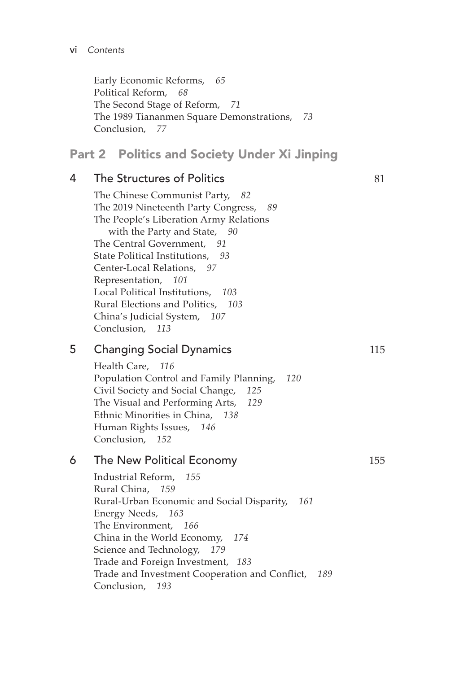Early Economic Reforms, *65* Political Reform, *68* The Second Stage of Reform, *71* The 1989 Tiananmen Square Demonstrations, *73* Conclusion, *77*

#### **Part 2 Politics and Society Under Xi Jinping**

#### 4 The Structures of Politics 81

The Chinese Communist Party, *82* The 2019 Nineteenth Party Congress, *89* The People's Liberation Army Relations with the Party and State, *90* The Central Government, *91* State Political Institutions, *93* Center-Local Relations, *97* Representation, *101* Local Political Institutions, *103* Rural Elections and Politics, *103* China's Judicial System, *107* Conclusion, *113*

#### 5 Changing Social Dynamics 115

Health Care, *116* Population Control and Family Planning, *120* Civil Society and Social Change, *125* The Visual and Performing Arts, *129* Ethnic Minorities in China, *138* Human Rights Issues, *146* Conclusion, *152*

#### 6 The New Political Economy 155

Industrial Reform, *155* Rural China, *159* Rural-Urban Economic and Social Disparity, *161* Energy Needs, *163* The Environment, *166* China in the World Economy, *174* Science and Technology, *179* Trade and Foreign Investment, *183* Trade and Investment Cooperation and Conflict, *189* Conclusion, *193*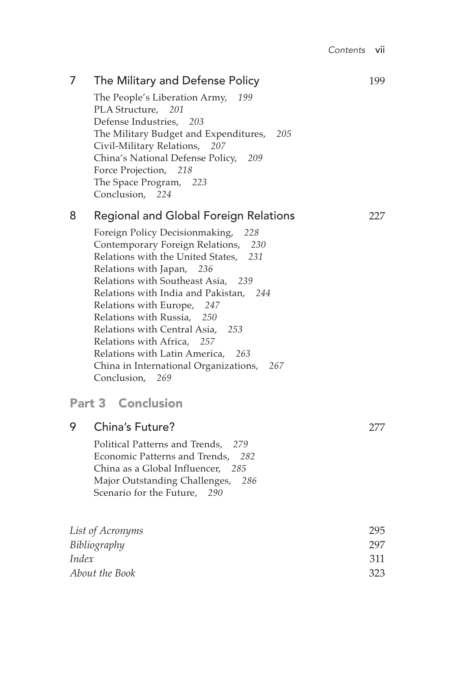| 7                                                           | The Military and Defense Policy<br>The People's Liberation Army,<br>199<br>PLA Structure,<br>201<br>Defense Industries,<br>203<br>The Military Budget and Expenditures,<br>205<br>Civil-Military Relations,<br>207<br>China's National Defense Policy,<br>209<br>Force Projection,<br>218<br>The Space Program,<br>223<br>Conclusion, 224                                                                                                                                                                                                                 | 199                      |
|-------------------------------------------------------------|-----------------------------------------------------------------------------------------------------------------------------------------------------------------------------------------------------------------------------------------------------------------------------------------------------------------------------------------------------------------------------------------------------------------------------------------------------------------------------------------------------------------------------------------------------------|--------------------------|
| 8                                                           | <b>Regional and Global Foreign Relations</b><br>Foreign Policy Decisionmaking,<br>228<br>Contemporary Foreign Relations,<br>230<br>Relations with the United States,<br>231<br>Relations with Japan,<br>236<br>Relations with Southeast Asia,<br>239<br>Relations with India and Pakistan,<br>244<br>Relations with Europe,<br>247<br>Relations with Russia,<br>250<br>Relations with Central Asia,<br>253<br>Relations with Africa,<br>257<br>Relations with Latin America,<br>263<br>China in International Organizations,<br>267<br>Conclusion,<br>269 | 227                      |
|                                                             | <b>Part 3 Conclusion</b>                                                                                                                                                                                                                                                                                                                                                                                                                                                                                                                                  |                          |
| 9                                                           | China's Future?<br>Political Patterns and Trends,<br>279<br>Economic Patterns and Trends,<br>282<br>China as a Global Influencer, 285<br>286<br>Major Outstanding Challenges,<br>Scenario for the Future,<br>- 290                                                                                                                                                                                                                                                                                                                                        | 277                      |
| List of Acronyms<br>Bibliography<br>Index<br>About the Book |                                                                                                                                                                                                                                                                                                                                                                                                                                                                                                                                                           | 295<br>297<br>311<br>323 |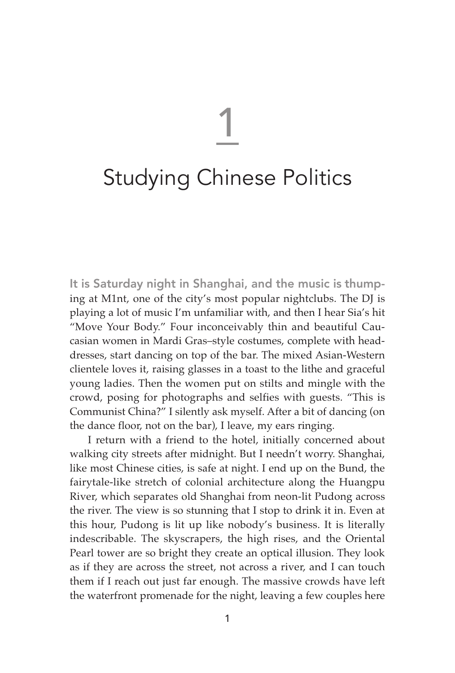# 1

### Studying Chinese Politics

It is Saturday night in Shanghai, and the music is thumping at M1nt, one of the city's most popular nightclubs. The DJ is playing a lot of music I'm unfamiliar with, and then I hear Sia's hit "Move Your Body." Four inconceivably thin and beautiful Caucasian women in Mardi Gras–style costumes, complete with headdresses, start dancing on top of the bar. The mixed Asian-Western clientele loves it, raising glasses in a toast to the lithe and graceful young ladies. Then the women put on stilts and mingle with the crowd, posing for photographs and selfies with guests. "This is Communist China?" I silently ask myself. After a bit of dancing (on the dance floor, not on the bar), I leave, my ears ringing.

I return with a friend to the hotel, initially concerned about walking city streets after midnight. But I needn't worry. Shanghai, like most Chinese cities, is safe at night. I end up on the Bund, the fairytale-like stretch of colonial architecture along the Huangpu River, which separates old Shanghai from neon-lit Pudong across the river. The view is so stunning that I stop to drink it in. Even at this hour, Pudong is lit up like nobody's business. It is literally indescribable. The skyscrapers, the high rises, and the Oriental Pearl tower are so bright they create an optical illusion. They look as if they are across the street, not across a river, and I can touch them if I reach out just far enough. The massive crowds have left the waterfront promenade for the night, leaving a few couples here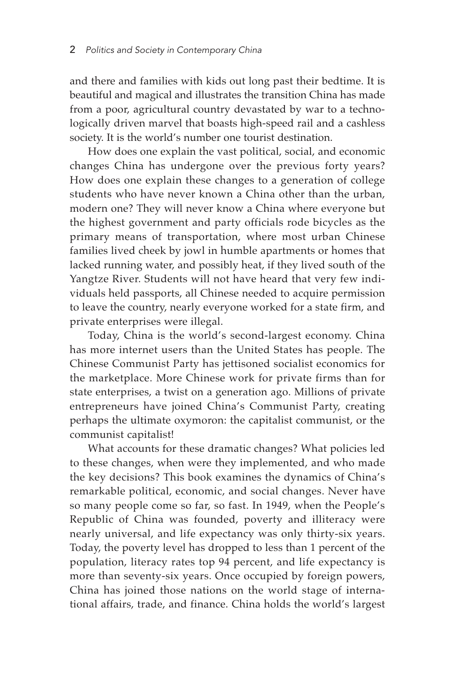and there and families with kids out long past their bedtime. It is beautiful and magical and illustrates the transition China has made from a poor, agricultural country devastated by war to a technologically driven marvel that boasts high-speed rail and a cashless society. It is the world's number one tourist destination.

How does one explain the vast political, social, and economic changes China has undergone over the previous forty years? How does one explain these changes to a generation of college students who have never known a China other than the urban, modern one? They will never know a China where everyone but the highest government and party officials rode bicycles as the primary means of transportation, where most urban Chinese families lived cheek by jowl in humble apartments or homes that lacked running water, and possibly heat, if they lived south of the Yangtze River. Students will not have heard that very few individuals held passports, all Chinese needed to acquire permission to leave the country, nearly everyone worked for a state firm, and private enterprises were illegal.

Today, China is the world's second-largest economy. China has more internet users than the United States has people. The Chinese Communist Party has jettisoned socialist economics for the marketplace. More Chinese work for private firms than for state enterprises, a twist on a generation ago. Millions of private entrepreneurs have joined China's Communist Party, creating perhaps the ultimate oxymoron: the capitalist communist, or the communist capitalist!

What accounts for these dramatic changes? What policies led to these changes, when were they implemented, and who made the key decisions? This book examines the dynamics of China's remarkable political, economic, and social changes. Never have so many people come so far, so fast. In 1949, when the People's Republic of China was founded, poverty and illiteracy were nearly universal, and life expectancy was only thirty-six years. Today, the poverty level has dropped to less than 1 percent of the population, literacy rates top 94 percent, and life expectancy is more than seventy-six years. Once occupied by foreign powers, China has joined those nations on the world stage of international affairs, trade, and finance. China holds the world's largest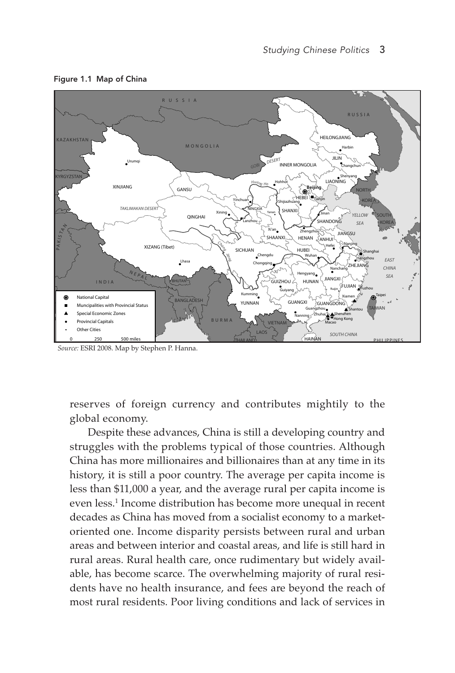Figure 1.1 Map of China



*Source:* ESRI 2008. Map by Stephen P. Hanna.

reserves of foreign currency and contributes mightily to the global economy.

Despite these advances, China is still a developing country and struggles with the problems typical of those countries. Although China has more millionaires and billionaires than at any time in its history, it is still a poor country. The average per capita income is less than \$11,000 a year, and the average rural per capita income is even less.1 Income distribution has become more unequal in recent decades as China has moved from a socialist economy to a marketoriented one. Income disparity persists between rural and urban areas and between interior and coastal areas, and life is still hard in rural areas. Rural health care, once rudimentary but widely available, has become scarce. The overwhelming majority of rural residents have no health insurance, and fees are beyond the reach of most rural residents. Poor living conditions and lack of services in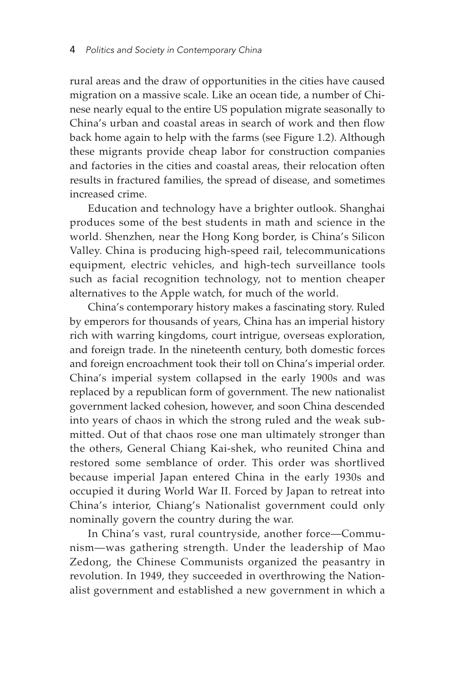rural areas and the draw of opportunities in the cities have caused migration on a massive scale. Like an ocean tide, a number of Chinese nearly equal to the entire US population migrate seasonally to China's urban and coastal areas in search of work and then flow back home again to help with the farms (see Figure 1.2). Although these migrants provide cheap labor for construction companies and factories in the cities and coastal areas, their relocation often results in fractured families, the spread of disease, and sometimes increased crime.

Education and technology have a brighter outlook. Shanghai produces some of the best students in math and science in the world. Shenzhen, near the Hong Kong border, is China's Silicon Valley. China is producing high-speed rail, telecommunications equipment, electric vehicles, and high-tech surveillance tools such as facial recognition technology, not to mention cheaper alternatives to the Apple watch, for much of the world.

China's contemporary history makes a fascinating story. Ruled by emperors for thousands of years, China has an imperial history rich with warring kingdoms, court intrigue, overseas exploration, and foreign trade. In the nineteenth century, both domestic forces and foreign encroachment took their toll on China's imperial order. China's imperial system collapsed in the early 1900s and was replaced by a republican form of government. The new nationalist government lacked cohesion, however, and soon China descended into years of chaos in which the strong ruled and the weak submitted. Out of that chaos rose one man ultimately stronger than the others, General Chiang Kai-shek, who reunited China and restored some semblance of order. This order was shortlived because imperial Japan entered China in the early 1930s and occupied it during World War II. Forced by Japan to retreat into China's interior, Chiang's Nationalist government could only nominally govern the country during the war.

In China's vast, rural countryside, another force—Communism—was gathering strength. Under the leadership of Mao Zedong, the Chinese Communists organized the peasantry in revolution. In 1949, they succeeded in overthrowing the Nationalist government and established a new government in which a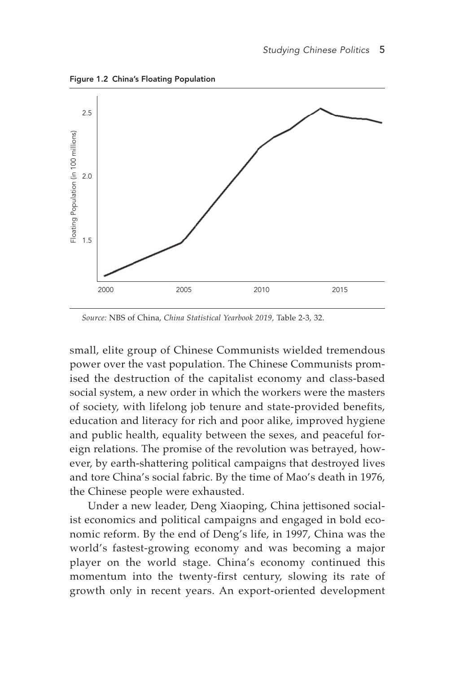Figure 1.2 China's Floating Population



*Source:* NBS of China, *China Statistical Yearbook 2019,* Table 2-3, 32.

small, elite group of Chinese Communists wielded tremendous power over the vast population. The Chinese Communists promised the destruction of the capitalist economy and class-based social system, a new order in which the workers were the masters of society, with lifelong job tenure and state-provided benefits, education and literacy for rich and poor alike, improved hygiene and public health, equality between the sexes, and peaceful foreign relations. The promise of the revolution was betrayed, however, by earth-shattering political campaigns that destroyed lives and tore China's social fabric. By the time of Mao's death in 1976, the Chinese people were exhausted.

Under a new leader, Deng Xiaoping, China jettisoned socialist economics and political campaigns and engaged in bold economic reform. By the end of Deng's life, in 1997, China was the world's fastest-growing economy and was becoming a major player on the world stage. China's economy continued this momentum into the twenty-first century, slowing its rate of growth only in recent years. An export-oriented development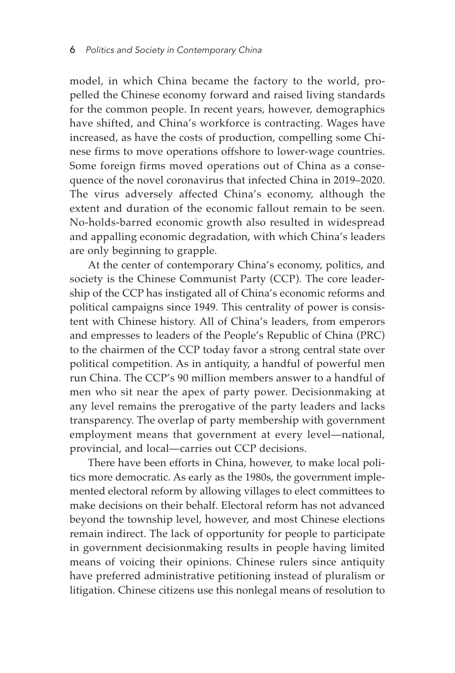model, in which China became the factory to the world, propelled the Chinese economy forward and raised living standards for the common people. In recent years, however, demographics have shifted, and China's workforce is contracting. Wages have increased, as have the costs of production, compelling some Chinese firms to move operations offshore to lower-wage countries. Some foreign firms moved operations out of China as a consequence of the novel coronavirus that infected China in 2019-2020. The virus adversely affected China's economy, although the extent and duration of the economic fallout remain to be seen. No-holds-barred economic growth also resulted in widespread and appalling economic degradation, with which China's leaders are only beginning to grapple.

At the center of contemporary China's economy, politics, and society is the Chinese Communist Party (CCP). The core leadership of the CCP has instigated all of China's economic reforms and political campaigns since 1949. This centrality of power is consistent with Chinese history. All of China's leaders, from emperors and empresses to leaders of the People's Republic of China (PRC) to the chairmen of the CCP today favor a strong central state over political competition. As in antiquity, a handful of powerful men run China. The CCP's 90 million members answer to a handful of men who sit near the apex of party power. Decisionmaking at any level remains the prerogative of the party leaders and lacks transparency. The overlap of party membership with government employment means that government at every level—national, provincial, and local—carries out CCP decisions.

There have been efforts in China, however, to make local politics more democratic. As early as the 1980s, the government implemented electoral reform by allowing villages to elect committees to make decisions on their behalf. Electoral reform has not advanced beyond the township level, however, and most Chinese elections remain indirect. The lack of opportunity for people to participate in government decisionmaking results in people having limited means of voicing their opinions. Chinese rulers since antiquity have preferred administrative petitioning instead of pluralism or litigation. Chinese citizens use this nonlegal means of resolution to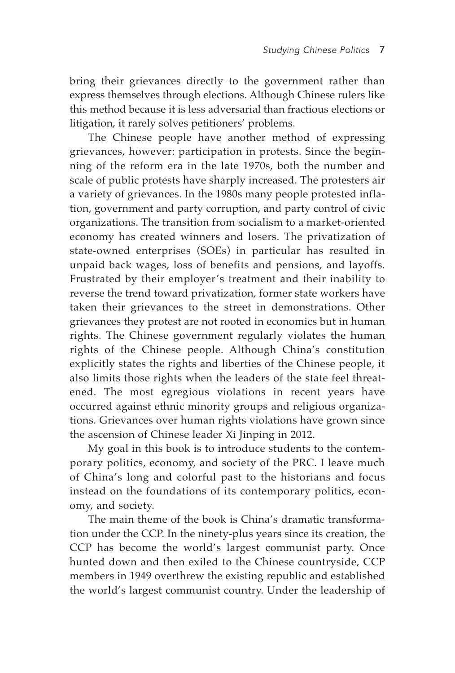bring their grievances directly to the government rather than express themselves through elections. Although Chinese rulers like this method because it is less adversarial than fractious elections or litigation, it rarely solves petitioners' problems.

The Chinese people have another method of expressing grievances, however: participation in protests. Since the beginning of the reform era in the late 1970s, both the number and scale of public protests have sharply increased. The protesters air a variety of grievances. In the 1980s many people protested inflation, government and party corruption, and party control of civic organizations. The transition from socialism to a market-oriented economy has created winners and losers. The privatization of state-owned enterprises (SOEs) in particular has resulted in unpaid back wages, loss of benefits and pensions, and layoffs. Frustrated by their employer's treatment and their inability to reverse the trend toward privatization, former state workers have taken their grievances to the street in demonstrations. Other grievances they protest are not rooted in economics but in human rights. The Chinese government regularly violates the human rights of the Chinese people. Although China's constitution explicitly states the rights and liberties of the Chinese people, it also limits those rights when the leaders of the state feel threatened. The most egregious violations in recent years have occurred against ethnic minority groups and religious organizations. Grievances over human rights violations have grown since the ascension of Chinese leader Xi Jinping in 2012.

My goal in this book is to introduce students to the contemporary politics, economy, and society of the PRC. I leave much of China's long and colorful past to the historians and focus instead on the foundations of its contemporary politics, economy, and society.

The main theme of the book is China's dramatic transformation under the CCP. In the ninety-plus years since its creation, the CCP has become the world's largest communist party. Once hunted down and then exiled to the Chinese countryside, CCP members in 1949 overthrew the existing republic and established the world's largest communist country. Under the leadership of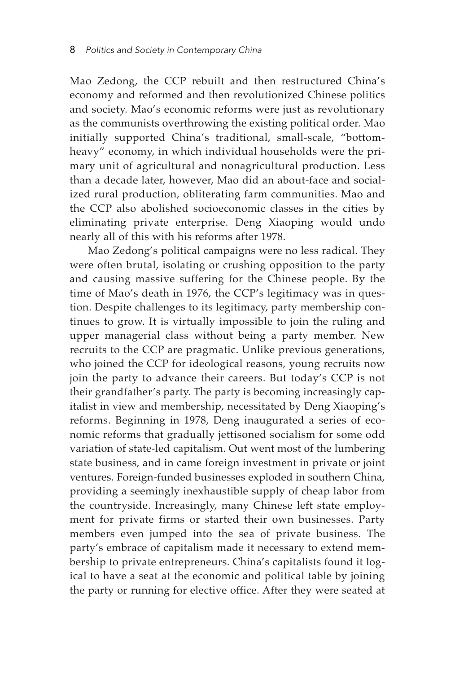Mao Zedong, the CCP rebuilt and then restructured China's economy and reformed and then revolutionized Chinese politics and society. Mao's economic reforms were just as revolutionary as the communists overthrowing the existing political order. Mao initially supported China's traditional, small-scale, "bottomheavy" economy, in which individual households were the primary unit of agricultural and nonagricultural production. Less than a decade later, however, Mao did an about-face and socialized rural production, obliterating farm communities. Mao and the CCP also abolished socioeconomic classes in the cities by eliminating private enterprise. Deng Xiaoping would undo nearly all of this with his reforms after 1978.

Mao Zedong's political campaigns were no less radical. They were often brutal, isolating or crushing opposition to the party and causing massive suffering for the Chinese people. By the time of Mao's death in 1976, the CCP's legitimacy was in question. Despite challenges to its legitimacy, party membership continues to grow. It is virtually impossible to join the ruling and upper managerial class without being a party member. New recruits to the CCP are pragmatic. Unlike previous generations, who joined the CCP for ideological reasons, young recruits now join the party to advance their careers. But today's CCP is not their grandfather's party. The party is becoming increasingly capitalist in view and membership, necessitated by Deng Xiaoping's reforms. Beginning in 1978, Deng inaugurated a series of economic reforms that gradually jettisoned socialism for some odd variation of state-led capitalism. Out went most of the lumbering state business, and in came foreign investment in private or joint ventures. Foreign-funded businesses exploded in southern China, providing a seemingly inexhaustible supply of cheap labor from the countryside. Increasingly, many Chinese left state employment for private firms or started their own businesses. Party members even jumped into the sea of private business. The party's embrace of capitalism made it necessary to extend membership to private entrepreneurs. China's capitalists found it logical to have a seat at the economic and political table by joining the party or running for elective office. After they were seated at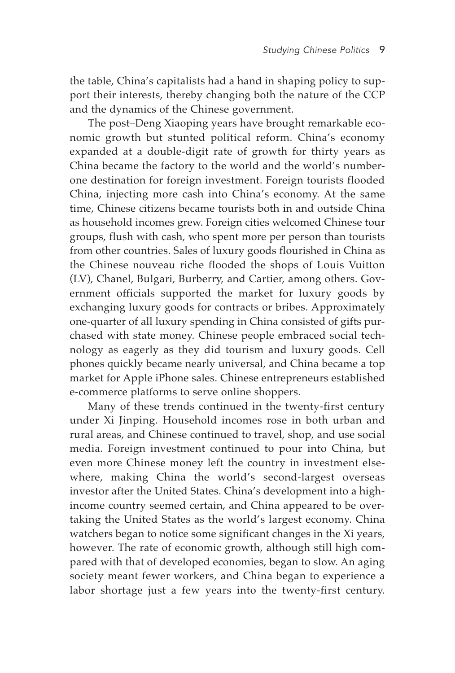the table, China's capitalists had a hand in shaping policy to support their interests, thereby changing both the nature of the CCP and the dynamics of the Chinese government.

The post-Deng Xiaoping years have brought remarkable economic growth but stunted political reform. China's economy expanded at a double-digit rate of growth for thirty years as China became the factory to the world and the world's numberone destination for foreign investment. Foreign tourists flooded China, injecting more cash into China's economy. At the same time, Chinese citizens became tourists both in and outside China as household incomes grew. Foreign cities welcomed Chinese tour groups, flush with cash, who spent more per person than tourists from other countries. Sales of luxury goods flourished in China as the Chinese nouveau riche flooded the shops of Louis Vuitton (LV), Chanel, Bulgari, Burberry, and Cartier, among others. Government officials supported the market for luxury goods by exchanging luxury goods for contracts or bribes. Approximately one-quarter of all luxury spending in China consisted of gifts purchased with state money. Chinese people embraced social technology as eagerly as they did tourism and luxury goods. Cell phones quickly became nearly universal, and China became a top market for Apple iPhone sales. Chinese entrepreneurs established e-commerce platforms to serve online shoppers.

Many of these trends continued in the twenty-first century under Xi Jinping. Household incomes rose in both urban and rural areas, and Chinese continued to travel, shop, and use social media. Foreign investment continued to pour into China, but even more Chinese money left the country in investment elsewhere, making China the world's second-largest overseas investor after the United States. China's development into a highincome country seemed certain, and China appeared to be overtaking the United States as the world's largest economy. China watchers began to notice some significant changes in the Xi years, however. The rate of economic growth, although still high compared with that of developed economies, began to slow. An aging society meant fewer workers, and China began to experience a labor shortage just a few years into the twenty-first century.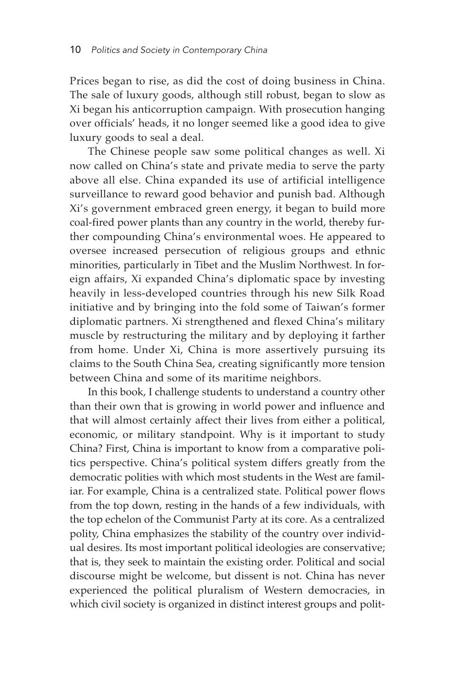Prices began to rise, as did the cost of doing business in China. The sale of luxury goods, although still robust, began to slow as Xi began his anticorruption campaign. With prosecution hanging over officials' heads, it no longer seemed like a good idea to give luxury goods to seal a deal.

The Chinese people saw some political changes as well. Xi now called on China's state and private media to serve the party above all else. China expanded its use of artificial intelligence surveillance to reward good behavior and punish bad. Although Xi's government embraced green energy, it began to build more coal-fired power plants than any country in the world, thereby further compounding China's environmental woes. He appeared to oversee increased persecution of religious groups and ethnic minorities, particularly in Tibet and the Muslim Northwest. In foreign affairs, Xi expanded China's diplomatic space by investing heavily in less-developed countries through his new Silk Road initiative and by bringing into the fold some of Taiwan's former diplomatic partners. Xi strengthened and flexed China's military muscle by restructuring the military and by deploying it farther from home. Under Xi, China is more assertively pursuing its claims to the South China Sea, creating significantly more tension between China and some of its maritime neighbors.

In this book, I challenge students to understand a country other than their own that is growing in world power and influence and that will almost certainly affect their lives from either a political, economic, or military standpoint. Why is it important to study China? First, China is important to know from a comparative politics perspective. China's political system differs greatly from the democratic polities with which most students in the West are familiar. For example, China is a centralized state. Political power flows from the top down, resting in the hands of a few individuals, with the top echelon of the Communist Party at its core. As a centralized polity, China emphasizes the stability of the country over individual desires. Its most important political ideologies are conservative; that is, they seek to maintain the existing order. Political and social discourse might be welcome, but dissent is not. China has never experienced the political pluralism of Western democracies, in which civil society is organized in distinct interest groups and polit-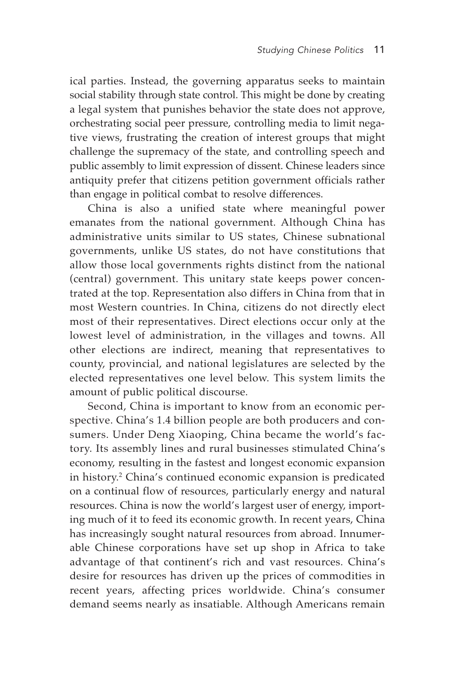ical parties. Instead, the governing apparatus seeks to maintain social stability through state control. This might be done by creating a legal system that punishes behavior the state does not approve, orchestrating social peer pressure, controlling media to limit negative views, frustrating the creation of interest groups that might challenge the supremacy of the state, and controlling speech and public assembly to limit expression of dissent. Chinese leaders since antiquity prefer that citizens petition government officials rather than engage in political combat to resolve differences.

China is also a unified state where meaningful power emanates from the national government. Although China has administrative units similar to US states, Chinese subnational governments, unlike US states, do not have constitutions that allow those local governments rights distinct from the national (central) government. This unitary state keeps power concentrated at the top. Representation also differs in China from that in most Western countries. In China, citizens do not directly elect most of their representatives. Direct elections occur only at the lowest level of administration, in the villages and towns. All other elections are indirect, meaning that representatives to county, provincial, and national legislatures are selected by the elected representatives one level below. This system limits the amount of public political discourse.

Second, China is important to know from an economic perspective. China's 1.4 billion people are both producers and consumers. Under Deng Xiaoping, China became the world's factory. Its assembly lines and rural businesses stimulated China's economy, resulting in the fastest and longest economic expansion in history.<sup>2</sup> China's continued economic expansion is predicated on a continual flow of resources, particularly energy and natural resources. China is now the world's largest user of energy, importing much of it to feed its economic growth. In recent years, China has increasingly sought natural resources from abroad. Innumerable Chinese corporations have set up shop in Africa to take advantage of that continent's rich and vast resources. China's desire for resources has driven up the prices of commodities in recent years, affecting prices worldwide. China's consumer demand seems nearly as insatiable. Although Americans remain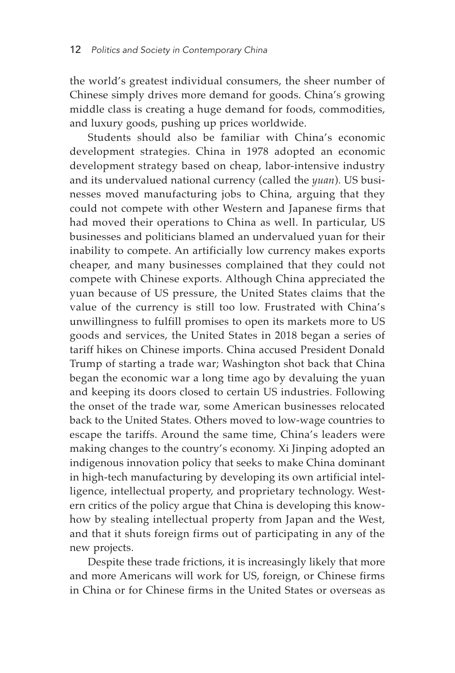the world's greatest individual consumers, the sheer number of Chinese simply drives more demand for goods. China's growing middle class is creating a huge demand for foods, commodities, and luxury goods, pushing up prices worldwide.

Students should also be familiar with China's economic development strategies. China in 1978 adopted an economic development strategy based on cheap, labor-intensive industry and its undervalued national currency (called the *yuan*). US businesses moved manufacturing jobs to China, arguing that they could not compete with other Western and Japanese firms that had moved their operations to China as well. In particular, US businesses and politicians blamed an undervalued yuan for their inability to compete. An artificially low currency makes exports cheaper, and many businesses complained that they could not compete with Chinese exports. Although China appreciated the yuan because of US pressure, the United States claims that the value of the currency is still too low. Frustrated with China's unwillingness to fulfill promises to open its markets more to US goods and services, the United States in 2018 began a series of tariff hikes on Chinese imports. China accused President Donald Trump of starting a trade war; Washington shot back that China began the economic war a long time ago by devaluing the yuan and keeping its doors closed to certain US industries. Following the onset of the trade war, some American businesses relocated back to the United States. Others moved to low-wage countries to escape the tariffs. Around the same time, China's leaders were making changes to the country's economy. Xi Jinping adopted an indigenous innovation policy that seeks to make China dominant in high-tech manufacturing by developing its own artificial intelligence, intellectual property, and proprietary technology. Western critics of the policy argue that China is developing this knowhow by stealing intellectual property from Japan and the West, and that it shuts foreign firms out of participating in any of the new projects.

Despite these trade frictions, it is increasingly likely that more and more Americans will work for US, foreign, or Chinese firms in China or for Chinese firms in the United States or overseas as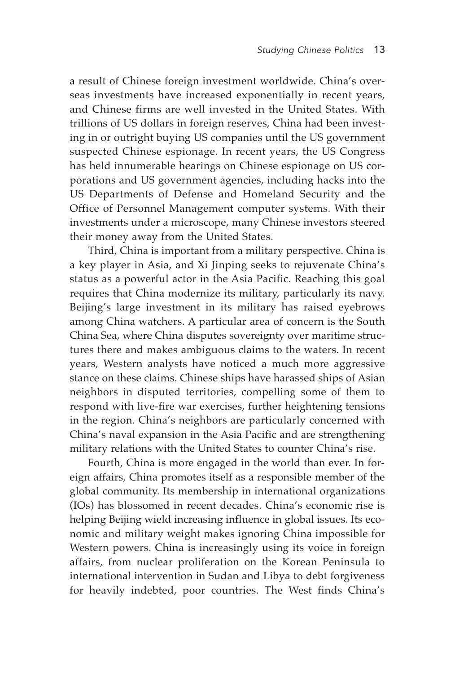a result of Chinese foreign investment worldwide. China's overseas investments have increased exponentially in recent years, and Chinese firms are well invested in the United States. With trillions of US dollars in foreign reserves, China had been investing in or outright buying US companies until the US government suspected Chinese espionage. In recent years, the US Congress has held innumerable hearings on Chinese espionage on US corporations and US government agencies, including hacks into the US Departments of Defense and Homeland Security and the Office of Personnel Management computer systems. With their investments under a microscope, many Chinese investors steered their money away from the United States.

Third, China is important from a military perspective. China is a key player in Asia, and Xi Jinping seeks to rejuvenate China's status as a powerful actor in the Asia Pacific. Reaching this goal requires that China modernize its military, particularly its navy. Beijing's large investment in its military has raised eyebrows among China watchers. A particular area of concern is the South China Sea, where China disputes sovereignty over maritime structures there and makes ambiguous claims to the waters. In recent years, Western analysts have noticed a much more aggressive stance on these claims. Chinese ships have harassed ships of Asian neighbors in disputed territories, compelling some of them to respond with live-fire war exercises, further heightening tensions in the region. China's neighbors are particularly concerned with China's naval expansion in the Asia Pacific and are strengthening military relations with the United States to counter China's rise.

Fourth, China is more engaged in the world than ever. In foreign affairs, China promotes itself as a responsible member of the global community. Its membership in international organizations (IOs) has blossomed in recent decades. China's economic rise is helping Beijing wield increasing influence in global issues. Its economic and military weight makes ignoring China impossible for Western powers. China is increasingly using its voice in foreign affairs, from nuclear proliferation on the Korean Peninsula to international intervention in Sudan and Libya to debt forgiveness for heavily indebted, poor countries. The West finds China's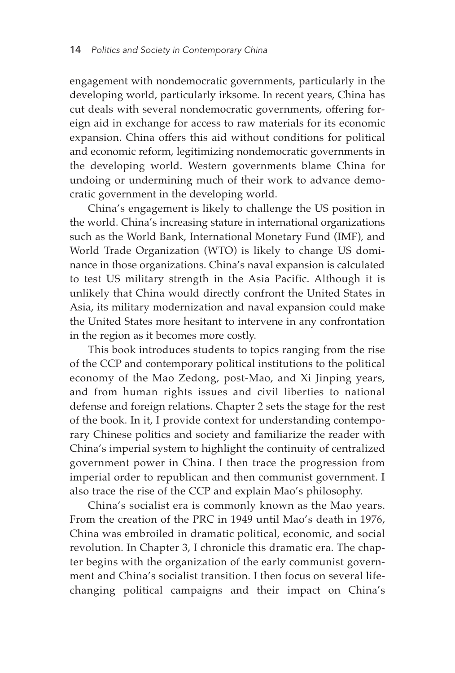engagement with nondemocratic governments, particularly in the developing world, particularly irksome. In recent years, China has cut deals with several nondemocratic governments, offering foreign aid in exchange for access to raw materials for its economic expansion. China offers this aid without conditions for political and economic reform, legitimizing nondemocratic governments in the developing world. Western governments blame China for undoing or undermining much of their work to advance democratic government in the developing world.

China's engagement is likely to challenge the US position in the world. China's increasing stature in international organizations such as the World Bank, International Monetary Fund (IMF), and World Trade Organization (WTO) is likely to change US dominance in those organizations. China's naval expansion is calculated to test US military strength in the Asia Pacific. Although it is unlikely that China would directly confront the United States in Asia, its military modernization and naval expansion could make the United States more hesitant to intervene in any confrontation in the region as it becomes more costly.

This book introduces students to topics ranging from the rise of the CCP and contemporary political institutions to the political economy of the Mao Zedong, post-Mao, and Xi Jinping years, and from human rights issues and civil liberties to national defense and foreign relations. Chapter 2 sets the stage for the rest of the book. In it, I provide context for understanding contemporary Chinese politics and society and familiarize the reader with China's imperial system to highlight the continuity of centralized government power in China. I then trace the progression from imperial order to republican and then communist government. I also trace the rise of the CCP and explain Mao's philosophy.

China's socialist era is commonly known as the Mao years. From the creation of the PRC in 1949 until Mao's death in 1976, China was embroiled in dramatic political, economic, and social revolution. In Chapter 3, I chronicle this dramatic era. The chapter begins with the organization of the early communist government and China's socialist transition. I then focus on several lifechanging political campaigns and their impact on China's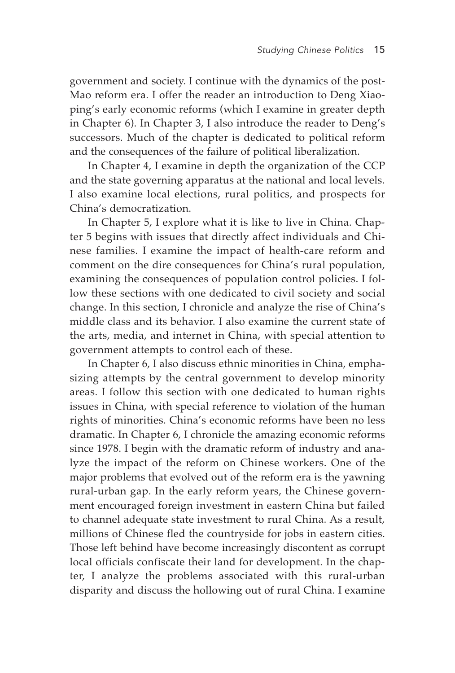government and society. I continue with the dynamics of the post-Mao reform era. I offer the reader an introduction to Deng Xiaoping's early economic reforms (which I examine in greater depth in Chapter 6). In Chapter 3, I also introduce the reader to Deng's successors. Much of the chapter is dedicated to political reform and the consequences of the failure of political liberalization.

In Chapter 4, I examine in depth the organization of the CCP and the state governing apparatus at the national and local levels. I also examine local elections, rural politics, and prospects for China's democratization.

In Chapter 5, I explore what it is like to live in China. Chapter 5 begins with issues that directly affect individuals and Chinese families. I examine the impact of health-care reform and comment on the dire consequences for China's rural population, examining the consequences of population control policies. I follow these sections with one dedicated to civil society and social change. In this section, I chronicle and analyze the rise of China's middle class and its behavior. I also examine the current state of the arts, media, and internet in China, with special attention to government attempts to control each of these.

In Chapter 6, I also discuss ethnic minorities in China, emphasizing attempts by the central government to develop minority areas. I follow this section with one dedicated to human rights issues in China, with special reference to violation of the human rights of minorities. China's economic reforms have been no less dramatic. In Chapter 6, I chronicle the amazing economic reforms since 1978. I begin with the dramatic reform of industry and analyze the impact of the reform on Chinese workers. One of the major problems that evolved out of the reform era is the yawning rural-urban gap. In the early reform years, the Chinese government encouraged foreign investment in eastern China but failed to channel adequate state investment to rural China. As a result, millions of Chinese fled the countryside for jobs in eastern cities. Those left behind have become increasingly discontent as corrupt local officials confiscate their land for development. In the chapter, I analyze the problems associated with this rural-urban disparity and discuss the hollowing out of rural China. I examine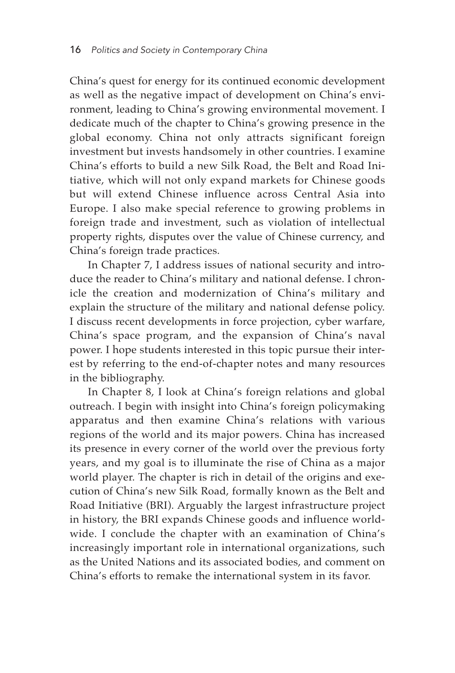China's quest for energy for its continued economic development as well as the negative impact of development on China's environment, leading to China's growing environmental movement. I dedicate much of the chapter to China's growing presence in the global economy. China not only attracts significant foreign investment but invests handsomely in other countries. I examine China's efforts to build a new Silk Road, the Belt and Road Initiative, which will not only expand markets for Chinese goods but will extend Chinese influence across Central Asia into Europe. I also make special reference to growing problems in foreign trade and investment, such as violation of intellectual property rights, disputes over the value of Chinese currency, and China's foreign trade practices.

In Chapter 7, I address issues of national security and introduce the reader to China's military and national defense. I chronicle the creation and modernization of China's military and explain the structure of the military and national defense policy. I discuss recent developments in force projection, cyber warfare, China's space program, and the expansion of China's naval power. I hope students interested in this topic pursue their interest by referring to the end-of-chapter notes and many resources in the bibliography.

In Chapter 8, I look at China's foreign relations and global outreach. I begin with insight into China's foreign policymaking apparatus and then examine China's relations with various regions of the world and its major powers. China has increased its presence in every corner of the world over the previous forty years, and my goal is to illuminate the rise of China as a major world player. The chapter is rich in detail of the origins and execution of China's new Silk Road, formally known as the Belt and Road Initiative (BRI). Arguably the largest infrastructure project in history, the BRI expands Chinese goods and influence worldwide. I conclude the chapter with an examination of China's increasingly important role in international organizations, such as the United Nations and its associated bodies, and comment on China's efforts to remake the international system in its favor.